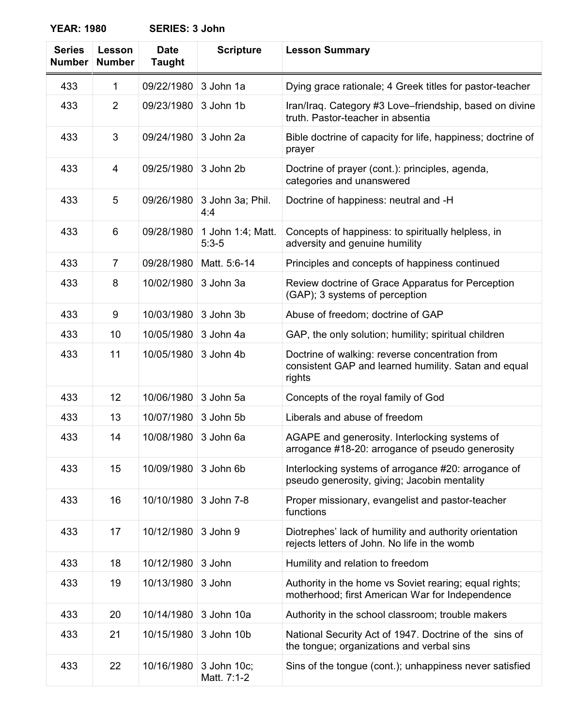**YEAR: 1980 SERIES: 3 John**

| <b>Series</b><br><b>Number</b> | Lesson<br><b>Number</b> | <b>Date</b><br><b>Taught</b> | <b>Scripture</b>             | <b>Lesson Summary</b>                                                                                             |
|--------------------------------|-------------------------|------------------------------|------------------------------|-------------------------------------------------------------------------------------------------------------------|
| 433                            | 1                       | 09/22/1980                   | 3 John 1a                    | Dying grace rationale; 4 Greek titles for pastor-teacher                                                          |
| 433                            | 2                       | 09/23/1980                   | 3 John 1b                    | Iran/Iraq. Category #3 Love-friendship, based on divine<br>truth. Pastor-teacher in absentia                      |
| 433                            | 3                       | 09/24/1980                   | 3 John 2a                    | Bible doctrine of capacity for life, happiness; doctrine of<br>prayer                                             |
| 433                            | 4                       | 09/25/1980                   | 3 John 2b                    | Doctrine of prayer (cont.): principles, agenda,<br>categories and unanswered                                      |
| 433                            | 5                       | 09/26/1980                   | 3 John 3a; Phil.<br>4:4      | Doctrine of happiness: neutral and -H                                                                             |
| 433                            | 6                       | 09/28/1980                   | 1 John 1:4; Matt.<br>$5:3-5$ | Concepts of happiness: to spiritually helpless, in<br>adversity and genuine humility                              |
| 433                            | 7                       | 09/28/1980                   | Matt. 5:6-14                 | Principles and concepts of happiness continued                                                                    |
| 433                            | 8                       | 10/02/1980                   | 3 John 3a                    | Review doctrine of Grace Apparatus for Perception<br>(GAP); 3 systems of perception                               |
| 433                            | 9                       | 10/03/1980                   | 3 John 3b                    | Abuse of freedom; doctrine of GAP                                                                                 |
| 433                            | 10                      | 10/05/1980                   | 3 John 4a                    | GAP, the only solution; humility; spiritual children                                                              |
| 433                            | 11                      | 10/05/1980                   | 3 John 4b                    | Doctrine of walking: reverse concentration from<br>consistent GAP and learned humility. Satan and equal<br>rights |
| 433                            | 12                      | 10/06/1980                   | 3 John 5a                    | Concepts of the royal family of God                                                                               |
| 433                            | 13                      | 10/07/1980                   | 3 John 5b                    | Liberals and abuse of freedom                                                                                     |
| 433                            | 14                      | 10/08/1980                   | 3 John 6a                    | AGAPE and generosity. Interlocking systems of<br>arrogance #18-20: arrogance of pseudo generosity                 |
| 433                            | 15                      | 10/09/1980                   | 3 John 6b                    | Interlocking systems of arrogance #20: arrogance of<br>pseudo generosity, giving; Jacobin mentality               |
| 433                            | 16                      | 10/10/1980                   | 3 John 7-8                   | Proper missionary, evangelist and pastor-teacher<br>functions                                                     |
| 433                            | 17                      | 10/12/1980                   | 3 John 9                     | Diotrephes' lack of humility and authority orientation<br>rejects letters of John. No life in the womb            |
| 433                            | 18                      | 10/12/1980                   | 3 John                       | Humility and relation to freedom                                                                                  |
| 433                            | 19                      | 10/13/1980                   | 3 John                       | Authority in the home vs Soviet rearing; equal rights;<br>motherhood; first American War for Independence         |
| 433                            | 20                      | 10/14/1980                   | 3 John 10a                   | Authority in the school classroom; trouble makers                                                                 |
| 433                            | 21                      | 10/15/1980                   | 3 John 10b                   | National Security Act of 1947. Doctrine of the sins of<br>the tongue; organizations and verbal sins               |
| 433                            | 22                      | 10/16/1980                   | 3 John 10c;<br>Matt. 7:1-2   | Sins of the tongue (cont.); unhappiness never satisfied                                                           |